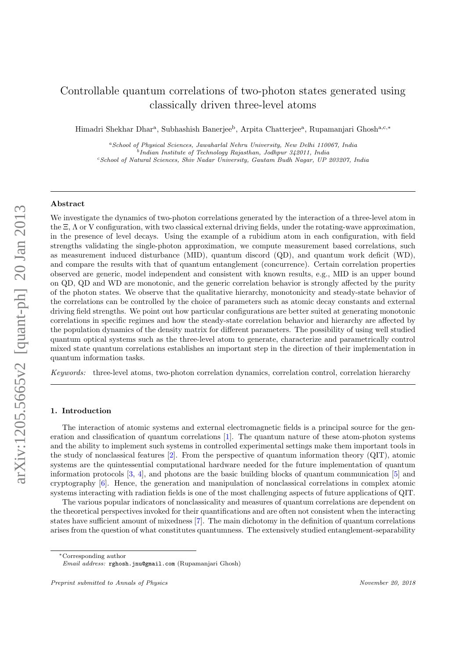# Controllable quantum correlations of two-photon states generated using classically driven three-level atoms

Himadri Shekhar Dhar<sup>a</sup>, Subhashish Banerjee<sup>b</sup>, Arpita Chatterjee<sup>a</sup>, Rupamanjari Ghosh<sup>a,c,\*</sup>

<sup>a</sup>School of Physical Sciences, Jawaharlal Nehru University, New Delhi 110067, India b Indian Institute of Technology Rajasthan, Jodhpur 342011, India <sup>c</sup>School of Natural Sciences, Shiv Nadar University, Gautam Budh Nagar, UP 203207, India

# Abstract

We investigate the dynamics of two-photon correlations generated by the interaction of a three-level atom in the Ξ, Λ or V configuration, with two classical external driving fields, under the rotating-wave approximation, in the presence of level decays. Using the example of a rubidium atom in each configuration, with field strengths validating the single-photon approximation, we compute measurement based correlations, such as measurement induced disturbance (MID), quantum discord (QD), and quantum work deficit (WD), and compare the results with that of quantum entanglement (concurrence). Certain correlation properties observed are generic, model independent and consistent with known results, e.g., MID is an upper bound on QD, QD and WD are monotonic, and the generic correlation behavior is strongly affected by the purity of the photon states. We observe that the qualitative hierarchy, monotonicity and steady-state behavior of the correlations can be controlled by the choice of parameters such as atomic decay constants and external driving field strengths. We point out how particular configurations are better suited at generating monotonic correlations in specific regimes and how the steady-state correlation behavior and hierarchy are affected by the population dynamics of the density matrix for different parameters. The possibility of using well studied quantum optical systems such as the three-level atom to generate, characterize and parametrically control mixed state quantum correlations establishes an important step in the direction of their implementation in quantum information tasks.

*Keywords:* three-level atoms, two-photon correlation dynamics, correlation control, correlation hierarchy

#### 1. Introduction

The interaction of atomic systems and external electromagnetic fields is a principal source for the generation and classification of quantum correlations [1]. The quantum nature of these atom-photon systems and the ability to implement such systems in controlled experimental settings make them important tools in the study of nonclassical features [2]. From the perspective of quantum information theory (QIT), atomic systems are the quintessential computational hardware needed for the future implementation of quantum information protocols [3, 4], and photons are the basic building blocks of quantum communication [5] and cryptography [6]. Hence, the generation and manipulation of nonclassical correlations in complex atomic systems interacting with radiation fields is one of the most challenging aspects of future applications of QIT.

The various popular indicators of nonclassicality and measures of quantum correlations are dependent on the theoretical perspectives invoked for their quantifications and are often not consistent when the interacting states have sufficient amount of mixedness [7]. The main dichotomy in the definition of quantum correlations arises from the question of what constitutes quantumness. The extensively studied entanglement-separability

<sup>∗</sup>Corresponding author

Email address: rghosh.jnu@gmail.com (Rupamanjari Ghosh)

Preprint submitted to Annals of Physics November 20, 2018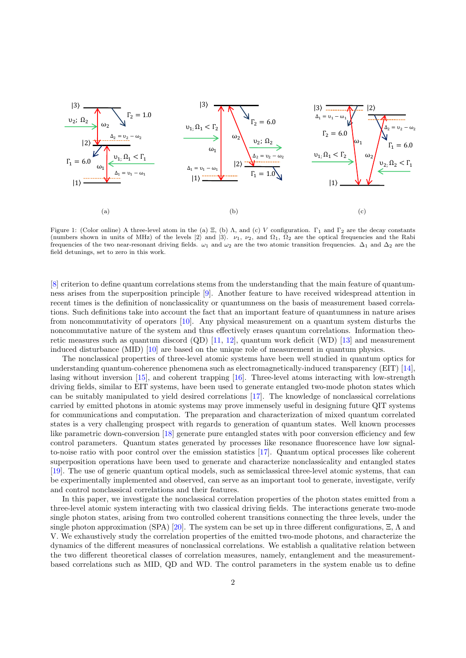

Figure 1: (Color online) A three-level atom in the (a)  $\Xi$ , (b) Λ, and (c) V configuration.  $\Gamma_1$  and  $\Gamma_2$  are the decay constants (numbers shown in units of MHz) of the levels  $|2\rangle$  and  $|3\rangle$ .  $\nu_1$ ,  $\nu_2$ , and  $\Omega_1$ ,  $\Omega_2$  are the optical frequencies and the Rabi frequencies of the two near-resonant driving fields.  $\omega_1$  and  $\omega_2$  are the two atomic transition frequencies.  $\Delta_1$  and  $\Delta_2$  are the field detunings, set to zero in this work.

[8] criterion to define quantum correlations stems from the understanding that the main feature of quantumness arises from the superposition principle [9]. Another feature to have received widespread attention in recent times is the definition of nonclassicality or quantumness on the basis of measurement based correlations. Such definitions take into account the fact that an important feature of quantumness in nature arises from noncommutativity of operators [10]. Any physical measurement on a quantum system disturbs the noncommutative nature of the system and thus effectively erases quantum correlations. Information theoretic measures such as quantum discord  $(QD)$  [11, 12], quantum work deficit (WD) [13] and measurement induced disturbance (MID) [10] are based on the unique role of measurement in quantum physics.

The nonclassical properties of three-level atomic systems have been well studied in quantum optics for understanding quantum-coherence phenomena such as electromagnetically-induced transparency (EIT) [14], lasing without inversion [15], and coherent trapping [16]. Three-level atoms interacting with low-strength driving fields, similar to EIT systems, have been used to generate entangled two-mode photon states which can be suitably manipulated to yield desired correlations [17]. The knowledge of nonclassical correlations carried by emitted photons in atomic systems may prove immensely useful in designing future QIT systems for communications and computation. The preparation and characterization of mixed quantum correlated states is a very challenging prospect with regards to generation of quantum states. Well known processes like parametric down-conversion [18] generate pure entangled states with poor conversion efficiency and few control parameters. Quantum states generated by processes like resonance fluorescence have low signalto-noise ratio with poor control over the emission statistics [17]. Quantum optical processes like coherent superposition operations have been used to generate and characterize nonclassicality and entangled states [19]. The use of generic quantum optical models, such as semiclassical three-level atomic systems, that can be experimentally implemented and observed, can serve as an important tool to generate, investigate, verify and control nonclassical correlations and their features.

In this paper, we investigate the nonclassical correlation properties of the photon states emitted from a three-level atomic system interacting with two classical driving fields. The interactions generate two-mode single photon states, arising from two controlled coherent transitions connecting the three levels, under the single photon approximation (SPA) [20]. The system can be set up in three different configurations,  $\Xi$ ,  $\Lambda$  and V. We exhaustively study the correlation properties of the emitted two-mode photons, and characterize the dynamics of the different measures of nonclassical correlations. We establish a qualitative relation between the two different theoretical classes of correlation measures, namely, entanglement and the measurementbased correlations such as MID, QD and WD. The control parameters in the system enable us to define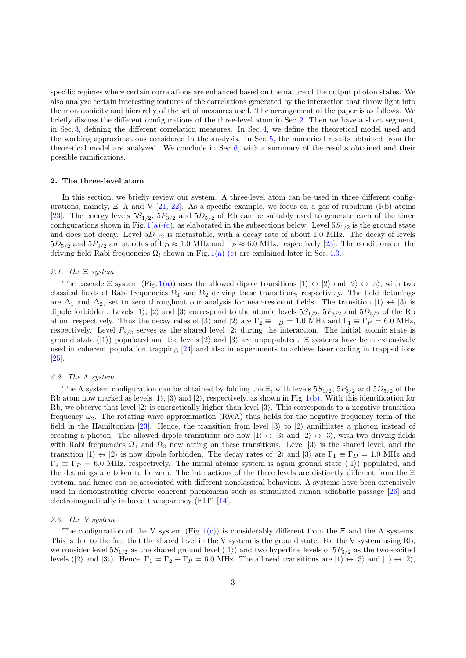specific regimes where certain correlations are enhanced based on the nature of the output photon states. We also analyze certain interesting features of the correlations generated by the interaction that throw light into the monotonicity and hierarchy of the set of measures used. The arrangement of the paper is as follows. We briefly discuss the different configurations of the three-level atom in Sec. 2. Then we have a short segment, in Sec. 3, defining the different correlation measures. In Sec. 4, we define the theoretical model used and the working approximations considered in the analysis. In Sec. 5, the numerical results obtained from the theoretical model are analyzed. We conclude in Sec. 6, with a summary of the results obtained and their possible ramifications.

#### 2. The three-level atom

In this section, we briefly review our system. A three-level atom can be used in three different configurations, namely,  $\Xi$ ,  $\Lambda$  and  $V$  [21, 22]. As a specific example, we focus on a gas of rubidium (Rb) atoms [23]. The energy levels  $5S_{1/2}$ ,  $5P_{3/2}$  and  $5D_{5/2}$  of Rb can be suitably used to generate each of the three configurations shown in Fig. 1(a)-(c), as elaborated in the subsections below. Level  $5S_{1/2}$  is the ground state and does not decay. Level  $5D_{5/2}$  is metastable, with a decay rate of about 1.0 MHz. The decay of levels  $5D_{5/2}$  and  $5P_{3/2}$  are at rates of  $\Gamma_D \approx 1.0$  MHz and  $\Gamma_P \approx 6.0$  MHz, respectively [23]. The conditions on the driving field Rabi frequencies  $\Omega_i$  shown in Fig. 1(a)-(c) are explained later in Sec. 4.3.

## *2.1. The* Ξ *system*

The cascade  $\Xi$  system (Fig. 1(a)) uses the allowed dipole transitions  $|1\rangle \leftrightarrow |2\rangle$  and  $|2\rangle \leftrightarrow |3\rangle$ , with two classical fields of Rabi frequencies  $\Omega_1$  and  $\Omega_2$  driving these transitions, respectively. The field detunings are  $\Delta_1$  and  $\Delta_2$ , set to zero throughout our analysis for near-resonant fields. The transition  $|1\rangle \leftrightarrow |3\rangle$  is dipole forbidden. Levels  $|1\rangle$ ,  $|2\rangle$  and  $|3\rangle$  correspond to the atomic levels  $5S_{1/2}$ ,  $5P_{3/2}$  and  $5D_{5/2}$  of the Rb atom, respectively. Thus the decay rates of  $|3\rangle$  and  $|2\rangle$  are  $\Gamma_2 \equiv \Gamma_D = 1.0$  MHz and  $\Gamma_1 \equiv \Gamma_P = 6.0$  MHz, respectively. Level  $P_{3/2}$  serves as the shared level  $|2\rangle$  during the interaction. The initial atomic state is ground state  $(|1\rangle)$  populated and the levels  $|2\rangle$  and  $|3\rangle$  are unpopulated.  $\Xi$  systems have been extensively used in coherent population trapping [24] and also in experiments to achieve laser cooling in trapped ions [25].

## *2.2. The* Λ *system*

The  $\Lambda$  system configuration can be obtained by folding the  $\Xi$ , with levels  $5S_{1/2}$ ,  $5P_{3/2}$  and  $5D_{5/2}$  of the Rb atom now marked as levels  $|1\rangle$ ,  $|3\rangle$  and  $|2\rangle$ , respectively, as shown in Fig. 1(b). With this identification for Rb, we observe that level  $|2\rangle$  is energetically higher than level  $|3\rangle$ . This corresponds to a negative transition frequency  $\omega_2$ . The rotating wave approximation (RWA) thus holds for the negative frequency term of the field in the Hamiltonian [23]. Hence, the transition from level  $|3\rangle$  to  $|2\rangle$  annihilates a photon instead of creating a photon. The allowed dipole transitions are now  $|1\rangle \leftrightarrow |3\rangle$  and  $|2\rangle \leftrightarrow |3\rangle$ , with two driving fields with Rabi frequencies  $\Omega_1$  and  $\Omega_2$  now acting on these transitions. Level  $\ket{3}$  is the shared level, and the transition  $|1\rangle \leftrightarrow |2\rangle$  is now dipole forbidden. The decay rates of  $|2\rangle$  and  $|3\rangle$  are  $\Gamma_1 \equiv \Gamma_D = 1.0$  MHz and  $\Gamma_2 \equiv \Gamma_P = 6.0$  MHz, respectively. The initial atomic system is again ground state (1)) populated, and the detunings are taken to be zero. The interactions of the three levels are distinctly different from the Ξ system, and hence can be associated with different nonclassical behaviors. Λ systems have been extensively used in demonstrating diverse coherent phenomena such as stimulated raman adiabatic passage [26] and electromagnetically induced transparency (EIT) [14].

#### *2.3. The V system*

The configuration of the V system (Fig. 1(c)) is considerably different from the  $\Xi$  and the  $\Lambda$  systems. This is due to the fact that the shared level in the V system is the ground state. For the V system using Rb, we consider level  $5S_{1/2}$  as the shared ground level (|1)) and two hyperfine levels of  $5P_{3/2}$  as the two-excited levels (|2) and  $|3\rangle$ ). Hence,  $\Gamma_1 = \Gamma_2 \equiv \Gamma_P = 6.0$  MHz. The allowed transitions are  $|1\rangle \leftrightarrow |3\rangle$  and  $|1\rangle \leftrightarrow |2\rangle$ ,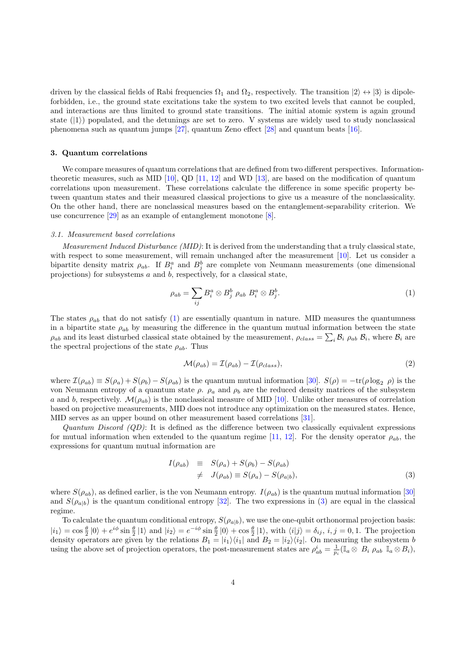driven by the classical fields of Rabi frequencies  $\Omega_1$  and  $\Omega_2$ , respectively. The transition  $|2\rangle \leftrightarrow |3\rangle$  is dipoleforbidden, i.e., the ground state excitations take the system to two excited levels that cannot be coupled, and interactions are thus limited to ground state transitions. The initial atomic system is again ground state  $(|1\rangle)$  populated, and the detunings are set to zero. V systems are widely used to study nonclassical phenomena such as quantum jumps [27], quantum Zeno effect [28] and quantum beats [16].

#### 3. Quantum correlations

We compare measures of quantum correlations that are defined from two different perspectives. Informationtheoretic measures, such as MID [10], QD [11, 12] and WD [13], are based on the modification of quantum correlations upon measurement. These correlations calculate the difference in some specific property between quantum states and their measured classical projections to give us a measure of the nonclassicality. On the other hand, there are nonclassical measures based on the entanglement-separability criterion. We use concurrence [29] as an example of entanglement monotone [8].

## *3.1. Measurement based correlations*

*Measurement Induced Disturbance (MID)*: It is derived from the understanding that a truly classical state, with respect to some measurement, will remain unchanged after the measurement [10]. Let us consider a bipartite density matrix  $\rho_{ab}$ . If  $B_i^a$  and  $B_j^b$  are complete von Neumann measurements (one dimensional projections) for subsystems a and b, respectively, for a classical state,

$$
\rho_{ab} = \sum_{ij} B_i^a \otimes B_j^b \; \rho_{ab} \; B_i^a \otimes B_j^b. \tag{1}
$$

The states  $\rho_{ab}$  that do not satisfy (1) are essentially quantum in nature. MID measures the quantumness in a bipartite state  $\rho_{ab}$  by measuring the difference in the quantum mutual information between the state  $\rho_{ab}$  and its least disturbed classical state obtained by the measurement,  $\rho_{class} = \sum_i \mathcal{B}_i \rho_{ab} \mathcal{B}_i$ , where  $\mathcal{B}_i$  are the spectral projections of the state  $\rho_{ab}$ . Thus

$$
\mathcal{M}(\rho_{ab}) = \mathcal{I}(\rho_{ab}) - \mathcal{I}(\rho_{class}),\tag{2}
$$

where  $\mathcal{I}(\rho_{ab}) \equiv S(\rho_a) + S(\rho_b) - S(\rho_{ab})$  is the quantum mutual information [30].  $S(\rho) = -\text{tr}(\rho \log_2 \rho)$  is the von Neumann entropy of a quantum state  $ρ$ .  $ρ<sub>a</sub>$  and  $ρ<sub>b</sub>$  are the reduced density matrices of the subsystem a and b, respectively.  $\mathcal{M}(\rho_{ab})$  is the nonclassical measure of MID [10]. Unlike other measures of correlation based on projective measurements, MID does not introduce any optimization on the measured states. Hence, MID serves as an upper bound on other measurement based correlations [31].

*Quantum Discord (QD)*: It is defined as the difference between two classically equivalent expressions for mutual information when extended to the quantum regime [11, 12]. For the density operator  $\rho_{ab}$ , the expressions for quantum mutual information are

$$
I(\rho_{ab}) \equiv S(\rho_a) + S(\rho_b) - S(\rho_{ab})
$$
  

$$
\neq J(\rho_{ab}) \equiv S(\rho_a) - S(\rho_{a|b}),
$$
 (3)

where  $S(\rho_{ab})$ , as defined earlier, is the von Neumann entropy.  $I(\rho_{ab})$  is the quantum mutual information [30] and  $S(\rho_{a|b})$  is the quantum conditional entropy [32]. The two expressions in (3) are equal in the classical regime.

To calculate the quantum conditional entropy,  $S(\rho_{a|b})$ , we use the one-qubit orthonormal projection basis:  $|i_1\rangle = \cos\frac{\theta}{2} |0\rangle + e^{i\phi} \sin\frac{\theta}{2} |1\rangle$  and  $|i_2\rangle = e^{-i\phi} \sin\frac{\theta}{2} |0\rangle + \cos\frac{\theta}{2} |1\rangle$ , with  $\langle i|j\rangle = \delta_{ij}, i, j = 0, 1$ . The projection density operators are given by the relations  $B_1 = |i_1\rangle\langle i_1|$  and  $B_2 = |i_2\rangle\langle i_2|$ . On measuring the subsystem b using the above set of projection operators, the post-measurement states are  $\rho_{ab}^i = \frac{1}{p_i} (\mathbb{I}_a \otimes B_i \rho_{ab} \mathbb{I}_a \otimes B_i)$ ,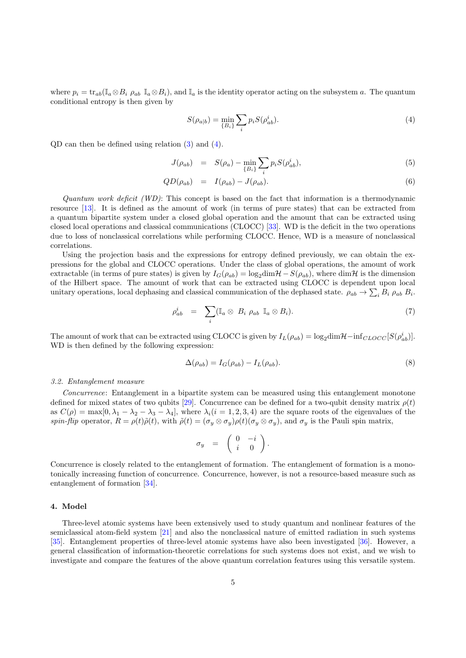where  $p_i = \text{tr}_{ab}(\mathbb{I}_a \otimes B_i \rho_{ab} \mathbb{I}_a \otimes B_i)$ , and  $\mathbb{I}_a$  is the identity operator acting on the subsystem a. The quantum conditional entropy is then given by

$$
S(\rho_{a|b}) = \min_{\{B_i\}} \sum_i p_i S(\rho_{ab}^i). \tag{4}
$$

QD can then be defined using relation (3) and (4).

$$
J(\rho_{ab}) = S(\rho_a) - \min_{\{B_i\}} \sum_i p_i S(\rho_{ab}^i), \tag{5}
$$

$$
QD(\rho_{ab}) = I(\rho_{ab}) - J(\rho_{ab}). \tag{6}
$$

*Quantum work deficit (WD)*: This concept is based on the fact that information is a thermodynamic resource [13]. It is defined as the amount of work (in terms of pure states) that can be extracted from a quantum bipartite system under a closed global operation and the amount that can be extracted using closed local operations and classical communications (CLOCC) [33]. WD is the deficit in the two operations due to loss of nonclassical correlations while performing CLOCC. Hence, WD is a measure of nonclassical correlations.

Using the projection basis and the expressions for entropy defined previously, we can obtain the expressions for the global and CLOCC operations. Under the class of global operations, the amount of work extractable (in terms of pure states) is given by  $I_G(\rho_{ab}) = \log_2 \dim \mathcal{H} - S(\rho_{ab})$ , where  $\dim \mathcal{H}$  is the dimension of the Hilbert space. The amount of work that can be extracted using CLOCC is dependent upon local unitary operations, local dephasing and classical communication of the dephased state.  $\rho_{ab} \to \sum_i B_i \rho_{ab} B_i$ .

$$
\rho_{ab}^i = \sum_i (\mathbb{I}_a \otimes B_i \rho_{ab} \mathbb{I}_a \otimes B_i).
$$
 (7)

The amount of work that can be extracted using CLOCC is given by  $I_L(\rho_{ab}) = \log_2 \dim \mathcal{H} - \inf_{CLOCC} [S(\rho_{ab}^i)]$ . WD is then defined by the following expression:

$$
\Delta(\rho_{ab}) = I_G(\rho_{ab}) - I_L(\rho_{ab}).\tag{8}
$$

## *3.2. Entanglement measure*

*Concurrence*: Entanglement in a bipartite system can be measured using this entanglement monotone defined for mixed states of two qubits [29]. Concurrence can be defined for a two-qubit density matrix  $\rho(t)$ as  $C(\rho) = \max[0, \lambda_1 - \lambda_2 - \lambda_3 - \lambda_4]$ , where  $\lambda_i (i = 1, 2, 3, 4)$  are the square roots of the eigenvalues of the *spin-flip* operator,  $R = \rho(t)\tilde{\rho}(t)$ , with  $\tilde{\rho}(t) = (\sigma_y \otimes \sigma_y)\rho(t)(\sigma_y \otimes \sigma_y)$ , and  $\sigma_y$  is the Pauli spin matrix,

$$
\sigma_y = \left( \begin{array}{cc} 0 & -i \\ i & 0 \end{array} \right).
$$

Concurrence is closely related to the entanglement of formation. The entanglement of formation is a monotonically increasing function of concurrence. Concurrence, however, is not a resource-based measure such as entanglement of formation [34].

#### 4. Model

Three-level atomic systems have been extensively used to study quantum and nonlinear features of the semiclassical atom-field system [21] and also the nonclassical nature of emitted radiation in such systems [35]. Entanglement properties of three-level atomic systems have also been investigated [36]. However, a general classification of information-theoretic correlations for such systems does not exist, and we wish to investigate and compare the features of the above quantum correlation features using this versatile system.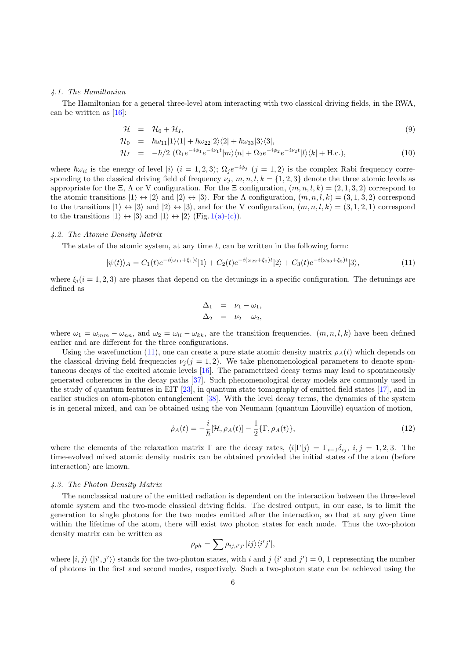#### *4.1. The Hamiltonian*

The Hamiltonian for a general three-level atom interacting with two classical driving fields, in the RWA, can be written as [16]:

$$
\mathcal{H} = \mathcal{H}_0 + \mathcal{H}_I, \tag{9}
$$

$$
\mathcal{H}_0 = \hbar \omega_{11} |1\rangle\langle 1| + \hbar \omega_{22} |2\rangle\langle 2| + \hbar \omega_{33} |3\rangle\langle 3|,
$$

$$
\mathcal{H}_I = -\hbar/2 \left( \Omega_1 e^{-i\phi_1} e^{-i\nu_1 t} |m\rangle\langle n| + \Omega_2 e^{-i\phi_2} e^{-i\nu_2 t} |l\rangle\langle k| + \text{H.c.} \right),\tag{10}
$$

where  $\hbar\omega_{ii}$  is the energy of level  $|i\rangle$   $(i = 1, 2, 3)$ ;  $\Omega_j e^{-i\phi_j}$   $(j = 1, 2)$  is the complex Rabi frequency corresponding to the classical driving field of frequency  $\nu_j$ ,  $m, n, l, k = \{1, 2, 3\}$  denote the three atomic levels as appropriate for the Ξ, Λ or V configuration. For the Ξ configuration,  $(m, n, l, k) = (2, 1, 3, 2)$  correspond to the atomic transitions  $|1\rangle \leftrightarrow |2\rangle$  and  $|2\rangle \leftrightarrow |3\rangle$ . For the  $\Lambda$  configuration,  $(m, n, l, k) = (3, 1, 3, 2)$  correspond to the transitions  $|1\rangle \leftrightarrow |3\rangle$  and  $|2\rangle \leftrightarrow |3\rangle$ , and for the V configuration,  $(m, n, l, k) = (3, 1, 2, 1)$  correspond to the transitions  $|1\rangle \leftrightarrow |3\rangle$  and  $|1\rangle \leftrightarrow |2\rangle$  (Fig. 1(a)-(c)).

## *4.2. The Atomic Density Matrix*

The state of the atomic system, at any time  $t$ , can be written in the following form:

$$
|\psi(t)\rangle_A = C_1(t)e^{-i(\omega_{11}+\xi_1)t}|1\rangle + C_2(t)e^{-i(\omega_{22}+\xi_2)t}|2\rangle + C_3(t)e^{-i(\omega_{33}+\xi_3)t}|3\rangle,
$$
\n(11)

where  $\xi_i$  (i = 1, 2, 3) are phases that depend on the detunings in a specific configuration. The detunings are defined as

$$
\Delta_1 = \nu_1 - \omega_1, \n\Delta_2 = \nu_2 - \omega_2,
$$

where  $\omega_1 = \omega_{mm} - \omega_{nn}$ , and  $\omega_2 = \omega_{ll} - \omega_{kk}$ , are the transition frequencies.  $(m, n, l, k)$  have been defined earlier and are different for the three configurations.

Using the wavefunction (11), one can create a pure state atomic density matrix  $\rho_A(t)$  which depends on the classical driving field frequencies  $\nu_i (j = 1, 2)$ . We take phenomenological parameters to denote spontaneous decays of the excited atomic levels [16]. The parametrized decay terms may lead to spontaneously generated coherences in the decay paths [37]. Such phenomenological decay models are commonly used in the study of quantum features in EIT [23], in quantum state tomography of emitted field states [17], and in earlier studies on atom-photon entanglement [38]. With the level decay terms, the dynamics of the system is in general mixed, and can be obtained using the von Neumann (quantum Liouville) equation of motion,

$$
\dot{\rho}_A(t) = -\frac{i}{\hbar}[\mathcal{H}, \rho_A(t)] - \frac{1}{2} \{\Gamma, \rho_A(t)\},\tag{12}
$$

where the elements of the relaxation matrix Γ are the decay rates,  $\langle i|\Gamma|j\rangle = \Gamma_{i-1}\delta_{ij}$ ,  $i, j = 1, 2, 3$ . The time-evolved mixed atomic density matrix can be obtained provided the initial states of the atom (before interaction) are known.

## *4.3. The Photon Density Matrix*

The nonclassical nature of the emitted radiation is dependent on the interaction between the three-level atomic system and the two-mode classical driving fields. The desired output, in our case, is to limit the generation to single photons for the two modes emitted after the interaction, so that at any given time within the lifetime of the atom, there will exist two photon states for each mode. Thus the two-photon density matrix can be written as

$$
\rho_{ph} = \sum \rho_{ij,i'j'} |ij\rangle\langle i'j'|,
$$

where  $|i, j \rangle$   $(|i', j' \rangle)$  stands for the two-photon states, with i and j  $(i'$  and  $j') = 0$ , 1 representing the number of photons in the first and second modes, respectively. Such a two-photon state can be achieved using the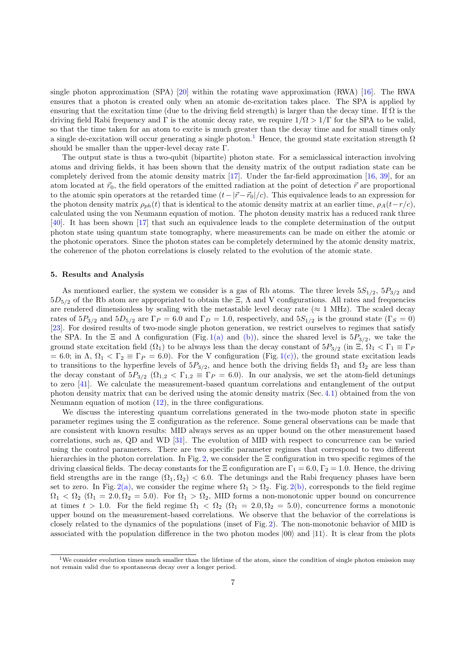single photon approximation (SPA) [20] within the rotating wave approximation (RWA) [16]. The RWA ensures that a photon is created only when an atomic de-excitation takes place. The SPA is applied by ensuring that the excitation time (due to the driving field strength) is larger than the decay time. If  $\Omega$  is the driving field Rabi frequency and Γ is the atomic decay rate, we require  $1/\Omega > 1/\Gamma$  for the SPA to be valid, so that the time taken for an atom to excite is much greater than the decay time and for small times only a single de-excitation will occur generating a single photon.<sup>1</sup> Hence, the ground state excitation strength  $\Omega$ should be smaller than the upper-level decay rate Γ.

The output state is thus a two-qubit (bipartite) photon state. For a semiclassical interaction involving atoms and driving fields, it has been shown that the density matrix of the output radiation state can be completely derived from the atomic density matrix [17]. Under the far-field approximation [16, 39], for an atom located at  $\vec{r}_0$ , the field operators of the emitted radiation at the point of detection  $\vec{r}$  are proportional to the atomic spin operators at the retarded time  $(t-|\vec{r}-\vec{r}_0|/c)$ . This equivalence leads to an expression for the photon density matrix  $\rho_{ph}(t)$  that is identical to the atomic density matrix at an earlier time,  $\rho_A(t-r/c)$ , calculated using the von Neumann equation of motion. The photon density matrix has a reduced rank three [40]. It has been shown [17] that such an equivalence leads to the complete determination of the output photon state using quantum state tomography, where measurements can be made on either the atomic or the photonic operators. Since the photon states can be completely determined by the atomic density matrix, the coherence of the photon correlations is closely related to the evolution of the atomic state.

## 5. Results and Analysis

As mentioned earlier, the system we consider is a gas of Rb atoms. The three levels  $5S_{1/2}$ ,  $5P_{3/2}$  and  $5D_{5/2}$  of the Rb atom are appropriated to obtain the  $\Xi$ ,  $\Lambda$  and V configurations. All rates and frequencies are rendered dimensionless by scaling with the metastable level decay rate ( $\approx 1$  MHz). The scaled decay rates of  $5P_{3/2}$  and  $5D_{5/2}$  are  $\Gamma_P = 6.0$  and  $\Gamma_D = 1.0$ , respectively, and  $5S_{1/2}$  is the ground state ( $\Gamma_S = 0$ ) [23]. For desired results of two-mode single photon generation, we restrict ourselves to regimes that satisfy the SPA. In the  $\Xi$  and  $\Lambda$  configuration (Fig. 1(a) and (b)), since the shared level is  $5P_{3/2}$ , we take the ground state excitation field  $(\Omega_1)$  to be always less than the decay constant of  $5P_{3/2}$  (in  $\Xi$ ,  $\Omega_1 < \Gamma_1 \equiv \Gamma_P$ )  $= 6.0$ ; in  $\Lambda$ ,  $\Omega_1 < \Gamma_2 \equiv \Gamma_P = 6.0$ . For the V configuration (Fig. 1(c)), the ground state excitation leads to transitions to the hyperfine levels of  $5P_{3/2}$ , and hence both the driving fields  $\Omega_1$  and  $\Omega_2$  are less than the decay constant of  $5P_{3/2}$   $(\Omega_{1,2} < \Gamma_{1,2} \equiv \Gamma_P = 6.0)$ . In our analysis, we set the atom-field detunings to zero [41]. We calculate the measurement-based quantum correlations and entanglement of the output photon density matrix that can be derived using the atomic density matrix (Sec. 4.1) obtained from the von Neumann equation of motion (12), in the three configurations.

We discuss the interesting quantum correlations generated in the two-mode photon state in specific parameter regimes using the Ξ configuration as the reference. Some general observations can be made that are consistent with known results: MID always serves as an upper bound on the other measurement based correlations, such as, QD and WD [31]. The evolution of MID with respect to concurrence can be varied using the control parameters. There are two specific parameter regimes that correspond to two different hierarchies in the photon correlation. In Fig. 2, we consider the Ξ configuration in two specific regimes of the driving classical fields. The decay constants for the  $\Xi$  configuration are  $\Gamma_1 = 6.0$ ,  $\Gamma_2 = 1.0$ . Hence, the driving field strengths are in the range  $(\Omega_1, \Omega_2) < 6.0$ . The detunings and the Rabi frequency phases have been set to zero. In Fig. 2(a), we consider the regime where  $\Omega_1 > \Omega_2$ . Fig. 2(b), corresponds to the field regime  $\Omega_1 < \Omega_2$  ( $\Omega_1 = 2.0, \Omega_2 = 5.0$ ). For  $\Omega_1 > \Omega_2$ , MID forms a non-monotonic upper bound on concurrence at times  $t > 1.0$ . For the field regime  $\Omega_1 < \Omega_2$  ( $\Omega_1 = 2.0, \Omega_2 = 5.0$ ), concurrence forms a monotonic upper bound on the measurement-based correlations. We observe that the behavior of the correlations is closely related to the dynamics of the populations (inset of Fig. 2). The non-monotonic behavior of MID is associated with the population difference in the two photon modes  $|00\rangle$  and  $|11\rangle$ . It is clear from the plots

<sup>&</sup>lt;sup>1</sup>We consider evolution times much smaller than the lifetime of the atom, since the condition of single photon emission may not remain valid due to spontaneous decay over a longer period.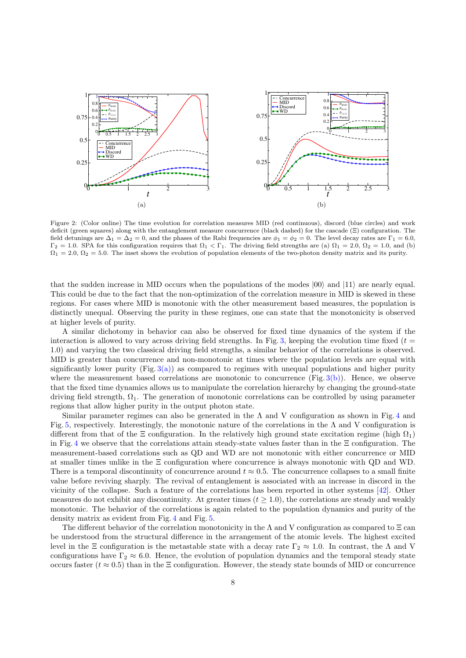

Figure 2: (Color online) The time evolution for correlation measures MID (red continuous), discord (blue circles) and work deficit (green squares) along with the entanglement measure concurrence (black dashed) for the cascade (Ξ) configuration. The field detunings are  $\Delta_1 = \Delta_2 = 0$ , and the phases of the Rabi frequencies are  $\phi_1 = \phi_2 = 0$ . The level decay rates are  $\Gamma_1 = 6.0$ ,  $\Gamma_2 = 1.0$ . SPA for this configuration requires that  $\Omega_1 < \Gamma_1$ . The driving field strengths are (a)  $\Omega_1 = 2.0$ ,  $\Omega_2 = 1.0$ , and (b)  $\Omega_1 = 2.0, \Omega_2 = 5.0$ . The inset shows the evolution of population elements of the two-photon density matrix and its purity.

that the sudden increase in MID occurs when the populations of the modes  $|00\rangle$  and  $|11\rangle$  are nearly equal. This could be due to the fact that the non-optimization of the correlation measure in MID is skewed in these regions. For cases where MID is monotonic with the other measurement based measures, the population is distinctly unequal. Observing the purity in these regimes, one can state that the monotonicity is observed at higher levels of purity.

A similar dichotomy in behavior can also be observed for fixed time dynamics of the system if the interaction is allowed to vary across driving field strengths. In Fig. 3, keeping the evolution time fixed ( $t =$ 1.0) and varying the two classical driving field strengths, a similar behavior of the correlations is observed. MID is greater than concurrence and non-monotonic at times where the population levels are equal with significantly lower purity  $(Fig. 3(a))$  as compared to regimes with unequal populations and higher purity where the measurement based correlations are monotonic to concurrence  $(Fig. 3(b))$ . Hence, we observe that the fixed time dynamics allows us to manipulate the correlation hierarchy by changing the ground-state driving field strength,  $\Omega_1$ . The generation of monotonic correlations can be controlled by using parameter regions that allow higher purity in the output photon state.

Similar parameter regimes can also be generated in the  $\Lambda$  and V configuration as shown in Fig. 4 and Fig. 5, respectively. Interestingly, the monotonic nature of the correlations in the  $\Lambda$  and V configuration is different from that of the  $\Xi$  configuration. In the relatively high ground state excitation regime (high  $\Omega_1$ ) in Fig. 4 we observe that the correlations attain steady-state values faster than in the Ξ configuration. The measurement-based correlations such as QD and WD are not monotonic with either concurrence or MID at smaller times unlike in the Ξ configuration where concurrence is always monotonic with QD and WD. There is a temporal discontinuity of concurrence around  $t \approx 0.5$ . The concurrence collapses to a small finite value before reviving sharply. The revival of entanglement is associated with an increase in discord in the vicinity of the collapse. Such a feature of the correlations has been reported in other systems [42]. Other measures do not exhibit any discontinuity. At greater times  $(t \geq 1.0)$ , the correlations are steady and weakly monotonic. The behavior of the correlations is again related to the population dynamics and purity of the density matrix as evident from Fig. 4 and Fig. 5.

The different behavior of the correlation monotonicity in the  $\Lambda$  and V configuration as compared to  $\Xi$  can be understood from the structural difference in the arrangement of the atomic levels. The highest excited level in the Ξ configuration is the metastable state with a decay rate  $\Gamma_2 \approx 1.0$ . In contrast, the Λ and V configurations have  $\Gamma_2 \approx 6.0$ . Hence, the evolution of population dynamics and the temporal steady state occurs faster ( $t \approx 0.5$ ) than in the  $\Xi$  configuration. However, the steady state bounds of MID or concurrence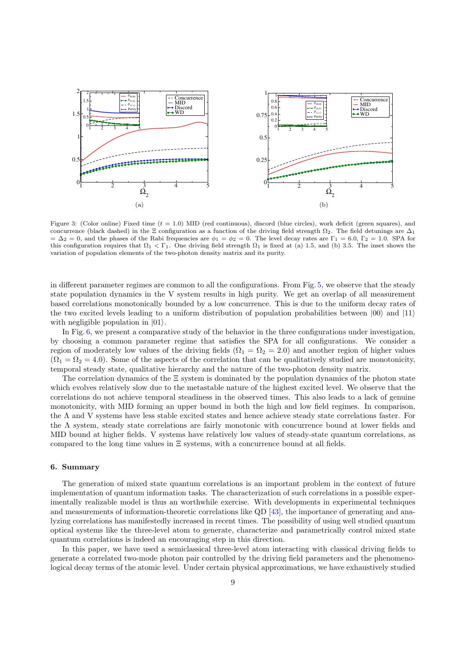

Figure 3: (Color online) Fixed time  $(t = 1.0)$  MID (red continuous), discord (blue circles), work deficit (green squares), and concurrence (black dashed) in the  $\Xi$  configuration as a function of the driving field strength  $\Omega_2$ . The field detunings are  $\Delta_1$  $= \Delta_2 = 0$ , and the phases of the Rabi frequencies are  $\phi_1 = \phi_2 = 0$ . The level decay rates are  $\Gamma_1 = 6.0$ ,  $\Gamma_2 = 1.0$ . SPA for this configuration requires that  $\Omega_1 < \Gamma_1$ . One driving field strength  $\Omega_1$  is fixed at (a) 1.5, and (b) 3.5. The inset shows the variation of population elements of the two-photon density matrix and its purity.

in different parameter regimes are common to all the configurations. From Fig. 5, we observe that the steady state population dynamics in the V system results in high purity. We get an overlap of all measurement based correlations monotonically bounded by a low concurrence. This is due to the uniform decay rates of the two excited levels leading to a uniform distribution of population probabilities between  $|00\rangle$  and  $|11\rangle$ with negligible population in  $|01\rangle$ .

In Fig. 6, we present a comparative study of the behavior in the three configurations under investigation. by choosing a common parameter regime that satisfies the SPA for all configurations. We consider a region of moderately low values of the driving fields  $(\Omega_1 = \Omega_2 = 2.0)$  and another region of higher values  $(\Omega_1 = \Omega_2 = 4.0)$ . Some of the aspects of the correlation that can be qualitatively studied are monotonicity, temporal steady state, qualitative hierarchy and the nature of the two-photon density matrix.

The correlation dynamics of the  $\Xi$  system is dominated by the population dynamics of the photon state which evolves relatively slow due to the metastable nature of the highest excited level. We observe that the correlations do not achieve temporal steadiness in the observed times. This also leads to a lack of genuine monotonicity, with MID forming an upper bound in both the high and low field regimes. In comparison, the Λ and V systems have less stable excited states and hence achieve steady state correlations faster. For the Λ system, steady state correlations are fairly monotonic with concurrence bound at lower fields and MID bound at higher fields. V systems have relatively low values of steady-state quantum correlations, as compared to the long time values in  $\Xi$  systems, with a concurrence bound at all fields.

### 6. Summary

The generation of mixed state quantum correlations is an important problem in the context of future implementation of quantum information tasks. The characterization of such correlations in a possible experimentally realizable model is thus an worthwhile exercise. With developments in experimental techniques and measurements of information-theoretic correlations like QD [43], the importance of generating and analyzing correlations has manifestedly increased in recent times. The possibility of using well studied quantum optical systems like the three-level atom to generate, characterize and parametrically control mixed state quantum correlations is indeed an encouraging step in this direction.

In this paper, we have used a semiclassical three-level atom interacting with classical driving fields to generate a correlated two-mode photon pair controlled by the driving field parameters and the phenomenological decay terms of the atomic level. Under certain physical approximations, we have exhaustively studied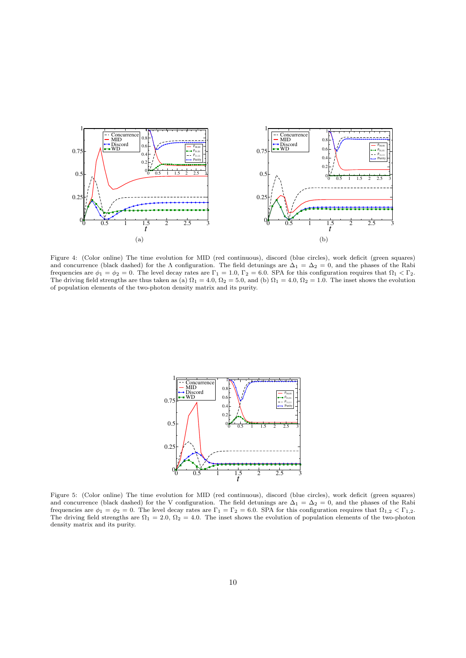

Figure 4: (Color online) The time evolution for MID (red continuous), discord (blue circles), work deficit (green squares) and concurrence (black dashed) for the  $\Lambda$  configuration. The field detunings are  $\Delta_1 = \Delta_2 = 0$ , and the phases of the Rabi frequencies are  $\phi_1 = \phi_2 = 0$ . The level decay rates are  $\Gamma_1 = 1.0$ ,  $\Gamma_2 = 6.0$ . SPA for this configuration requires that  $\Omega_1 < \Gamma_2$ . The driving field strengths are thus taken as (a)  $\Omega_1 = 4.0$ ,  $\Omega_2 = 5.0$ , and (b)  $\Omega_1 = 4.0$ ,  $\Omega_2 = 1.0$ . The inset shows the evolution of population elements of the two-photon density matrix and its purity.



Figure 5: (Color online) The time evolution for MID (red continuous), discord (blue circles), work deficit (green squares) and concurrence (black dashed) for the V configuration. The field detunings are  $\Delta_1 = \Delta_2 = 0$ , and the phases of the Rabi frequencies are  $\phi_1 = \phi_2 = 0$ . The level decay rates are  $\Gamma_1 = \Gamma_2 = 6.0$ . SPA for this configuration requires that  $\Omega_{1,2} < \Gamma_{1,2}$ . The driving field strengths are  $\Omega_1 = 2.0$ ,  $\Omega_2 = 4.0$ . The inset shows the evolution of population elements of the two-photon density matrix and its purity.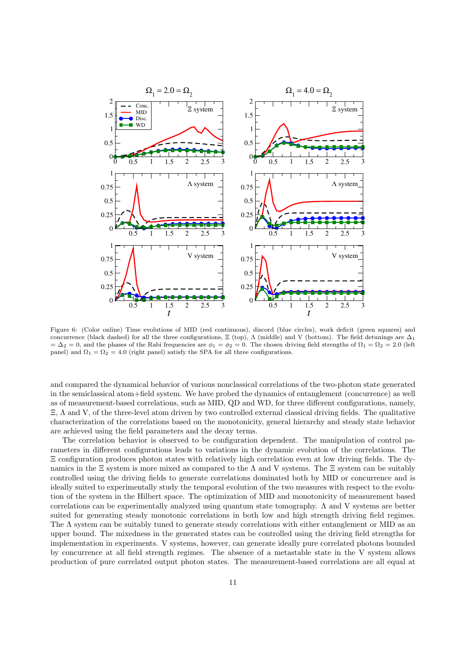

Figure 6: (Color online) Time evolutions of MID (red continuous), discord (blue circles), work deficit (green squares) and concurrence (black dashed) for all the three configurations,  $\Xi$  (top),  $\Lambda$  (middle) and V (bottom). The field detunings are  $\Delta_1$  $= \Delta_2 = 0$ , and the phases of the Rabi frequencies are  $\phi_1 = \phi_2 = 0$ . The chosen driving field strengths of  $\Omega_1 = \Omega_2 = 2.0$  (left panel) and  $\Omega_1 = \Omega_2 = 4.0$  (right panel) satisfy the SPA for all three configurations.

and compared the dynamical behavior of various nonclassical correlations of the two-photon state generated in the semiclassical atom+field system. We have probed the dynamics of entanglement (concurrence) as well as of measurement-based correlations, such as MID, QD and WD, for three different configurations, namely, Ξ, Λ and V, of the three-level atom driven by two controlled external classical driving fields. The qualitative characterization of the correlations based on the monotonicity, general hierarchy and steady state behavior are achieved using the field parameters and the decay terms.

The correlation behavior is observed to be configuration dependent. The manipulation of control parameters in different configurations leads to variations in the dynamic evolution of the correlations. The Ξ configuration produces photon states with relatively high correlation even at low driving fields. The dynamics in the  $\Xi$  system is more mixed as compared to the  $\Lambda$  and V systems. The  $\Xi$  system can be suitably controlled using the driving fields to generate correlations dominated both by MID or concurrence and is ideally suited to experimentally study the temporal evolution of the two measures with respect to the evolution of the system in the Hilbert space. The optimization of MID and monotonicity of measurement based correlations can be experimentally analyzed using quantum state tomography. Λ and V systems are better suited for generating steady monotonic correlations in both low and high strength driving field regimes. The  $\Lambda$  system can be suitably tuned to generate steady correlations with either entanglement or MID as an upper bound. The mixedness in the generated states can be controlled using the driving field strengths for implementation in experiments. V systems, however, can generate ideally pure correlated photons bounded by concurrence at all field strength regimes. The absence of a metastable state in the V system allows production of pure correlated output photon states. The measurement-based correlations are all equal at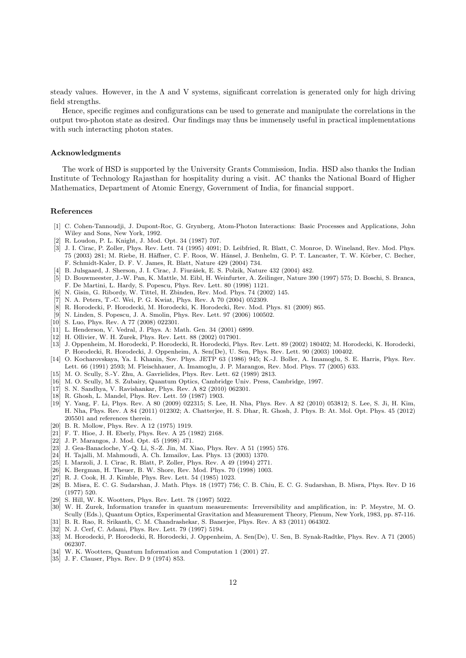steady values. However, in the Λ and V systems, significant correlation is generated only for high driving field strengths.

Hence, specific regimes and configurations can be used to generate and manipulate the correlations in the output two-photon state as desired. Our findings may thus be immensely useful in practical implementations with such interacting photon states.

#### Acknowledgments

The work of HSD is supported by the University Grants Commission, India. HSD also thanks the Indian Institute of Technology Rajasthan for hospitality during a visit. AC thanks the National Board of Higher Mathematics, Department of Atomic Energy, Government of India, for financial support.

### References

- [1] C. Cohen-Tannoudji, J. Dupont-Roc, G. Grynberg, Atom-Photon Interactions: Basic Processes and Applications, John Wiley and Sons, New York, 1992.
- [2] R. Loudon, P. L. Knight, J. Mod. Opt. 34 (1987) 707.
- [3] J. I. Cirac, P. Zoller, Phys. Rev. Lett. 74 (1995) 4091; D. Leibfried, R. Blatt, C. Monroe, D. Wineland, Rev. Mod. Phys. 75 (2003) 281; M. Riebe, H. Häffner, C. F. Roos, W. Hänsel, J. Benhelm, G. P. T. Lancaster, T. W. Körber, C. Becher, F. Schmidt-Kaler, D. F. V. James, R. Blatt, Nature 429 (2004) 734.
- [4] B. Julsgaard, J. Sherson, J. I. Cirac, J. Fiurášek, E. S. Polzik, Nature 432 (2004) 482.
- [5] D. Bouwmeester, J.-W. Pan, K. Mattle, M. Eibl, H. Weinfurter, A. Zeilinger, Nature 390 (1997) 575; D. Boschi, S. Branca, F. De Martini, L. Hardy, S. Popescu, Phys. Rev. Lett. 80 (1998) 1121.
- [6] N. Gisin, G. Ribordy, W. Tittel, H. Zbinden, Rev. Mod. Phys. 74 (2002) 145.
- [7] N. A. Peters, T.-C. Wei, P. G. Kwiat, Phys. Rev. A 70 (2004) 052309.
- [8] R. Horodecki, P. Horodecki, M. Horodecki, K. Horodecki, Rev. Mod. Phys. 81 (2009) 865.
- [9] N. Linden, S. Popescu, J. A. Smolin, Phys. Rev. Lett. 97 (2006) 100502.
- [10] S. Luo, Phys. Rev. A 77 (2008) 022301.
- [11] L. Henderson, V. Vedral, J. Phys. A: Math. Gen. 34 (2001) 6899.
- [12] H. Ollivier, W. H. Zurek, Phys. Rev. Lett. 88 (2002) 017901.
- [13] J. Oppenheim, M. Horodecki, P. Horodecki, R. Horodecki, Phys. Rev. Lett. 89 (2002) 180402; M. Horodecki, K. Horodecki, P. Horodecki, R. Horodecki, J. Oppenheim, A. Sen(De), U. Sen, Phys. Rev. Lett. 90 (2003) 100402.
- [14] O. Kocharovskaya, Ya. I. Khanin, Sov. Phys. JETP 63 (1986) 945; K.-J. Boller, A. Imamoglu, S. E. Harris, Phys. Rev. Lett. 66 (1991) 2593; M. Fleischhauer, A. Imamoglu, J. P. Marangos, Rev. Mod. Phys. 77 (2005) 633.
- [15] M. O. Scully, S.-Y. Zhu, A. Gavrielides, Phys. Rev. Lett. 62 (1989) 2813.
- [16] M. O. Scully, M. S. Zubairy, Quantum Optics, Cambridge Univ. Press, Cambridge, 1997.
- [17] S. N. Sandhya, V. Ravishankar, Phys. Rev. A 82 (2010) 062301.
- [18] R. Ghosh, L. Mandel, Phys. Rev. Lett. 59 (1987) 1903.
- [19] Y. Yang, F. Li, Phys. Rev. A 80 (2009) 022315; S. Lee, H. Nha, Phys. Rev. A 82 (2010) 053812; S. Lee, S. Ji, H. Kim, H. Nha, Phys. Rev. A 84 (2011) 012302; A. Chatterjee, H. S. Dhar, R. Ghosh, J. Phys. B: At. Mol. Opt. Phys. 45 (2012) 205501 and references therein.
- [20] B. R. Mollow, Phys. Rev. A 12 (1975) 1919.
- [21] F. T. Hioe, J. H. Eberly, Phys. Rev. A 25 (1982) 2168.
- [22] J. P. Marangos, J. Mod. Opt. 45 (1998) 471.
- [23] J. Gea-Banacloche, Y.-Q. Li, S.-Z. Jin, M. Xiao, Phys. Rev. A 51 (1995) 576.
- [24] H. Tajalli, M. Mahmoudi, A. Ch. Izmailov, Las. Phys. 13 (2003) 1370.
- [25] I. Marzoli, J. I. Cirac, R. Blatt, P. Zoller, Phys. Rev. A 49 (1994) 2771.
- [26] K. Bergman, H. Theuer, B. W. Shore, Rev. Mod. Phys. 70 (1998) 1003.
- [27] R. J. Cook, H. J. Kimble, Phys. Rev. Lett. 54 (1985) 1023.
- [28] B. Misra, E. C. G. Sudarshan, J. Math. Phys. 18 (1977) 756; C. B. Chiu, E. C. G. Sudarshan, B. Misra, Phys. Rev. D 16 (1977) 520.
- [29] S. Hill, W. K. Wootters, Phys. Rev. Lett. 78 (1997) 5022.
- [30] W. H. Zurek, Information transfer in quantum measurements: Irreversibility and amplification, in: P. Meystre, M. O. Scully (Eds.), Quantum Optics, Experimental Gravitation and Measurement Theory, Plenum, New York, 1983, pp. 87-116. [31] B. R. Rao, R. Srikanth, C. M. Chandrashekar, S. Banerjee, Phys. Rev. A 83 (2011) 064302.
- [32] N. J. Cerf, C. Adami, Phys. Rev. Lett. 79 (1997) 5194.
- [33] M. Horodecki, P. Horodecki, R. Horodecki, J. Oppenheim, A. Sen(De), U. Sen, B. Synak-Radtke, Phys. Rev. A 71 (2005) 062307.
- [34] W. K. Wootters, Quantum Information and Computation 1 (2001) 27.
- [35] J. F. Clauser, Phys. Rev. D 9 (1974) 853.